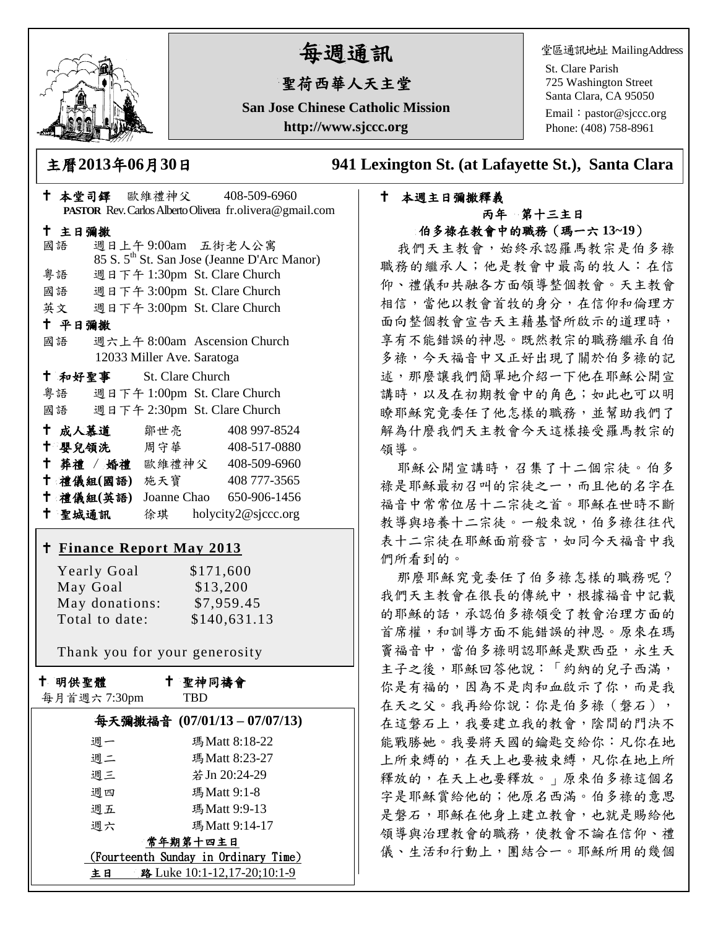

# 每週通訊

# 聖荷西華人天主堂

**San Jose Chinese Catholic Mission http://www.sjccc.org**

堂區通訊地址 MailingAddress

St. Clare Parish 725 Washington Street Santa Clara, CA 95050

Email: [pastor@sjccc.org](mailto:pastor@sjccc.org) Phone: (408) 758-8961

主曆**2013**年**06**月**30**日 **941 Lexington St. (at Lafayette St.), Santa Clara** 

#### 本週主日彌撒釋義 丙年 第十三主日 伯多祿在教會中的職務(瑪一六 **13~19**)

我們天主教會,始終承認羅馬教宗是伯多祿 職務的繼承人;他是教會中最高的牧人:在信 仰、禮儀和共融各方面領導整個教會。天主教會 相信,當他以教會首牧的身分,在信仰和倫理方 面向整個教會宣告天主藉基督所啟示的道理時, 享有不能錯誤的神恩。既然教宗的職務繼承自伯 多祿,今天福音中又正好出現了關於伯多祿的記 述,那麼讓我們簡單地介紹一下他在耶穌公開宣 講時,以及在初期教會中的角色;如此也可以明 瞭耶穌究竟委任了他怎樣的職務,並幫助我們了 解為什麼我們天主教會今天這樣接受羅馬教宗的 領導。

耶穌公開宣講時,召集了十二個宗徒。伯多 祿是耶穌最初召叫的宗徒之一,而且他的名字在 福音中常常位居十二宗徒之首。耶穌在世時不斷 教導與培養十二宗徒。一般來說,伯多祿往往代 表十二宗徒在耶穌面前發言,如同今天福音中我 們所看到的。

那麼耶穌究竟委任了伯多祿怎樣的職務呢? 我們天主教會在很長的傳統中,根據福音中記載 的耶穌的話,承認伯多祿領受了教會治理方面的 首席權,和訓導方面不能錯誤的神恩。原來在瑪 竇福音中,當伯多祿明認耶穌是默西亞,永生天 主子之後,耶穌回答他說:「約納的兒子西滿, 你是有福的,因為不是肉和血啟示了你,而是我 在天之父。我再給你說:你是伯多祿(磐石), 在這磐石上,我要建立我的教會,陰間的門決不 能戰勝她。我要將天國的鑰匙交給你:凡你在地 上所束縛的,在天上也要被束縛,凡你在地上所 釋放的,在天上也要釋放。」原來伯多祿這個名 字是耶穌賞給他的;他原名西滿。伯多祿的意思 是磐石,耶穌在他身上建立教會,也就是賜給他 領導與治理教會的職務,使教會不論在信仰、禮 儀、生活和行動上,團結合一。耶穌所用的幾個

| † 本堂司鐸 歐維禮神父 408-509-6960          |                                                         |
|------------------------------------|---------------------------------------------------------|
|                                    | PASTOR Rev. Carlos Alberto Olivera fr.olivera@gmail.com |
| 十 主日彌撒                             |                                                         |
| 週日上午9:00am 五街老人公寓<br>國語            | 85 S. 5 <sup>th</sup> St. San Jose (Jeanne D'Arc Manor) |
| 粤語 週日下午 1:30pm St. Clare Church    |                                                         |
| 國語 週日下午 3:00pm St. Clare Church    |                                                         |
| 英文 週日下午 3:00pm St. Clare Church    |                                                         |
| 十 平日彌撒                             |                                                         |
| 國語 週六上午 8:00am Ascension Church    |                                                         |
| 12033 Miller Ave. Saratoga         |                                                         |
| <sup>†</sup> 和好聖事 St. Clare Church |                                                         |
| 粤語 週日下午 1:00pm St. Clare Church    |                                                         |
| 國語 週日下午 2:30pm St. Clare Church    |                                                         |
| + 成人慕道 鄒世亮 408 997-8524            |                                                         |
| 十 嬰兒領洗 周守華                         | 408-517-0880                                            |
| † 葬禮 / 婚禮 歐維禮神父 408-509-6960       |                                                         |
| † 禮儀組(國語) 施天寶 408777-3565          |                                                         |
| † 禮儀組(英語) Joanne Chao 650-906-1456 |                                                         |
| + 聖城通訊 徐琪 holycity2@sjccc.org      |                                                         |
|                                    |                                                         |
| † <u>Finance Report May 2013</u>   |                                                         |
| <b>Yearly Goal</b>                 | \$171,600                                               |
| May Goal                           | \$13,200                                                |
| May donations: \$7,959.45          |                                                         |
| Total to date:                     | \$140,631.13                                            |
|                                    |                                                         |
| Thank you for your generosity      |                                                         |
| 十 明供聖體                             | ↑ 聖神同禱會                                                 |
| 每月首週六 7:30pm                       | <b>TBD</b>                                              |
| 每天彌撒福音 (07/01/13-07/07/13)         |                                                         |
| 週一                                 | 瑪Matt 8:18-22                                           |
| 週二                                 | 瑪Matt 8:23-27                                           |
| 週三                                 | 若 Jn 20:24-29                                           |
| 週四                                 | 瑪Matt 9:1-8                                             |
| 週五                                 | 瑪Matt 9:9-13                                            |

#### 週六 瑪 Matt 9:14-17 常年期第十四主日

 (Fourteenth Sunday in Ordinary Time) 主日 路 Luke 10:1-12,17-20;10:1-9